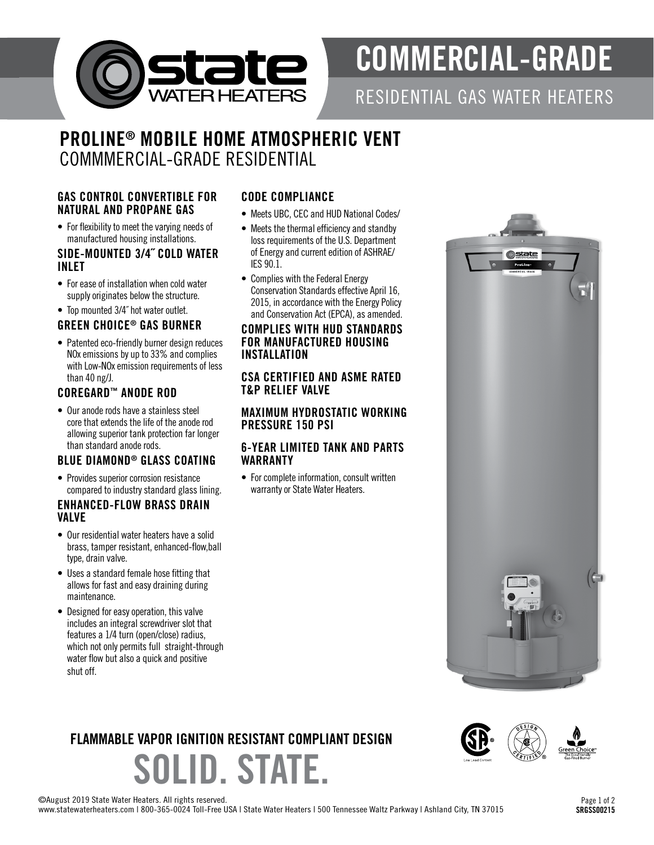

# COMMERCIAL-GRADE

RESIDENTIAL GAS WATER HEATERS

state

# PROLINE® MOBILE HOME ATMOSPHERIC VENT COMMMERCIAL-GRADE RESIDENTIAL

#### GAS CONTROL CONVERTIBLE FOR NATURAL AND PROPANE GAS

• For flexibility to meet the varying needs of manufactured housing installations.

#### SIDE-MOUNTED 3/4˝ COLD WATER INLET

- For ease of installation when cold water supply originates below the structure.
- Top mounted 3/4˝ hot water outlet.

## GREEN CHOICE® GAS BURNER

• Patented eco-friendly burner design reduces NOx emissions by up to 33% and complies with Low-NO<sub>x</sub> emission requirements of less than 40 ng/J.

### COREGARD™ ANODE ROD

• Our anode rods have a stainless steel core that extends the life of the anode rod allowing superior tank protection far longer than standard anode rods.

#### BLUE DIAMOND® GLASS COATING

• Provides superior corrosion resistance compared to industry standard glass lining.

#### ENHANCED-FLOW BRASS DRAIN VALVE

- Our residential water heaters have a solid brass, tamper resistant, enhanced-flow,ball type, drain valve.
- Uses a standard female hose fitting that allows for fast and easy draining during maintenance.
- Designed for easy operation, this valve includes an integral screwdriver slot that features a 1/4 turn (open/close) radius, which not only permits full straight-through water flow but also a quick and positive shut off.

### CODE COMPLIANCE

- Meets UBC, CEC and HUD National Codes/
- Meets the thermal efficiency and standby loss requirements of the U.S. Department of Energy and current edition of ASHRAE/ IES 90.1.
- Complies with the Federal Energy Conservation Standards effective April 16, 2015, in accordance with the Energy Policy and Conservation Act (EPCA), as amended.

#### COMPLIES WITH HUD STANDARDS FOR MANUFACTURED HOUSING INSTALLATION

#### CSA CERTIFIED AND ASME RATED T&P RELIEF VALVE

#### MAXIMUM HYDROSTATIC WORKING PRESSURE 150 PSI

#### 6-YEAR LIMITED TANK AND PARTS WARRANTY

• For complete information, consult written warranty or State Water Heaters.



## FLAMMABLE VAPOR IGNITION RESISTANT COMPLIANT DESIGN

OLID. STATE.